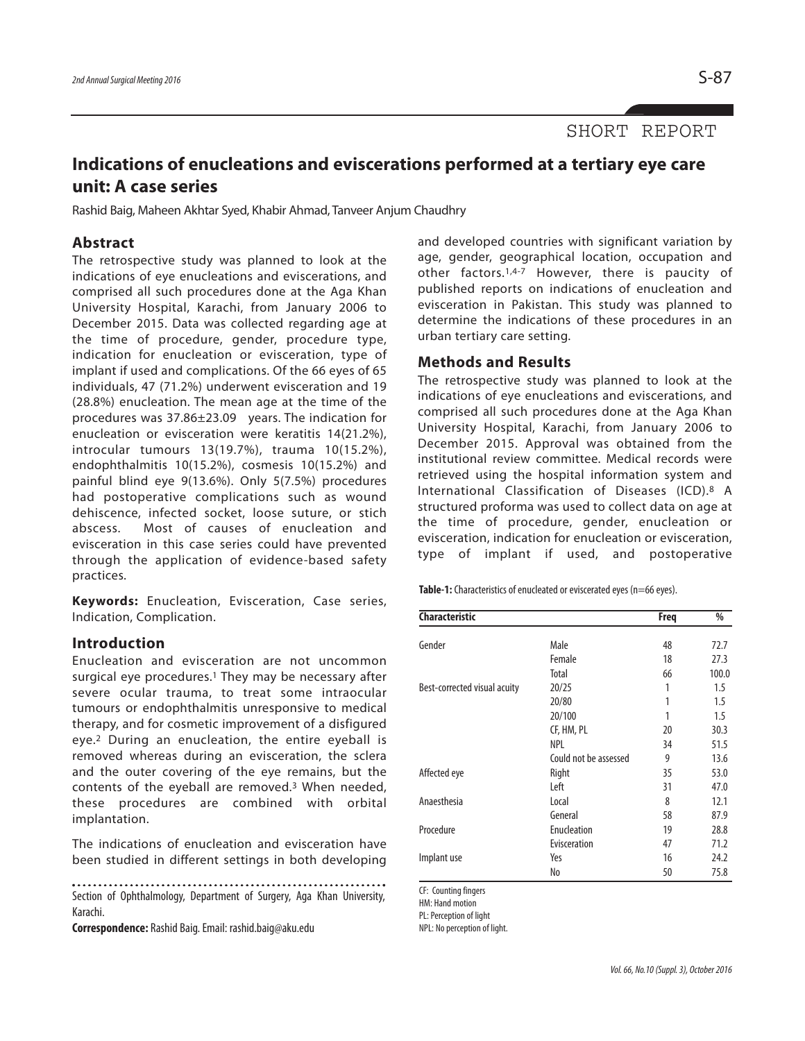SHORT REPORT

# **Indications of enucleations and eviscerations performed at a tertiary eye care unit: A case series**

Rashid Baig, Maheen Akhtar Syed, Khabir Ahmad, Tanveer Anjum Chaudhry

### **Abstract**

The retrospective study was planned to look at the indications of eye enucleations and eviscerations, and comprised all such procedures done at the Aga Khan University Hospital, Karachi, from January 2006 to December 2015. Data was collected regarding age at the time of procedure, gender, procedure type, indication for enucleation or evisceration, type of implant if used and complications. Of the 66 eyes of 65 individuals, 47 (71.2%) underwent evisceration and 19 (28.8%) enucleation. The mean age at the time of the procedures was 37.86±23.09 years. The indication for enucleation or evisceration were keratitis 14(21.2%), introcular tumours 13(19.7%), trauma 10(15.2%), endophthalmitis 10(15.2%), cosmesis 10(15.2%) and painful blind eye 9(13.6%). Only 5(7.5%) procedures had postoperative complications such as wound dehiscence, infected socket, loose suture, or stich abscess. Most of causes of enucleation and evisceration in this case series could have prevented through the application of evidence-based safety practices.

**Keywords:** Enucleation, Evisceration, Case series, Indication, Complication.

#### **Introduction**

Enucleation and evisceration are not uncommon surgical eye procedures. <sup>1</sup> They may be necessary after severe ocular trauma, to treat some intraocular tumours or endophthalmitis unresponsive to medical therapy, and for cosmetic improvement of a disfigured eye.2 During an enucleation, the entire eyeball is removed whereas during an evisceration, the sclera and the outer covering of the eye remains, but the contents of the eyeball are removed. <sup>3</sup> When needed, these procedures are combined with orbital implantation.

The indications of enucleation and evisceration have been studied in different settings in both developing

Section of Ophthalmology, Department of Surgery, Aga Khan University, Karachi.

**Correspondence:** Rashid Baig.Email: rashid.baig@aku.edu

and developed countries with significant variation by age, gender, geographical location, occupation and other factors.1,4-7 However, there is paucity of published reports on indications of enucleation and evisceration in Pakistan. This study was planned to determine the indications of these procedures in an urban tertiary care setting.

#### **Methods and Results**

The retrospective study was planned to look at the indications of eye enucleations and eviscerations, and comprised all such procedures done at the Aga Khan University Hospital, Karachi, from January 2006 to December 2015. Approval was obtained from the institutional review committee. Medical records were retrieved using the hospital information system and International Classification of Diseases (ICD).8 A structured proforma was used to collect data on age at the time of procedure, gender, enucleation or evisceration, indication for enucleation or evisceration, type of implant if used, and postoperative

**Table-1:** Characteristics of enucleated or eviscerated eyes (n=66 eyes).

| Characteristic               |                       | <b>Freq</b> | $\%$  |
|------------------------------|-----------------------|-------------|-------|
| Gender                       | Male                  | 48          | 72.7  |
|                              | Female                | 18          | 27.3  |
|                              | Total                 | 66          | 100.0 |
| Best-corrected visual acuity | 20/25                 | 1           | 1.5   |
|                              | 20/80                 | 1           | 1.5   |
|                              | 20/100                |             | 1.5   |
|                              | CF, HM, PL            | 20          | 30.3  |
|                              | <b>NPL</b>            | 34          | 51.5  |
|                              | Could not be assessed | 9           | 13.6  |
| Affected eye                 | Right                 | 35          | 53.0  |
|                              | Left                  | 31          | 47.0  |
| Anaesthesia                  | Local                 | 8           | 12.1  |
|                              | General               | 58          | 87.9  |
| Procedure                    | Enucleation           | 19          | 28.8  |
|                              | Evisceration          | 47          | 71.2  |
| Implant use                  | Yes                   | 16          | 24.2  |
|                              | No                    | 50          | 75.8  |

CF: Counting fingers

HM: Hand motion

PL: Perception of light

NPL: No perception of light.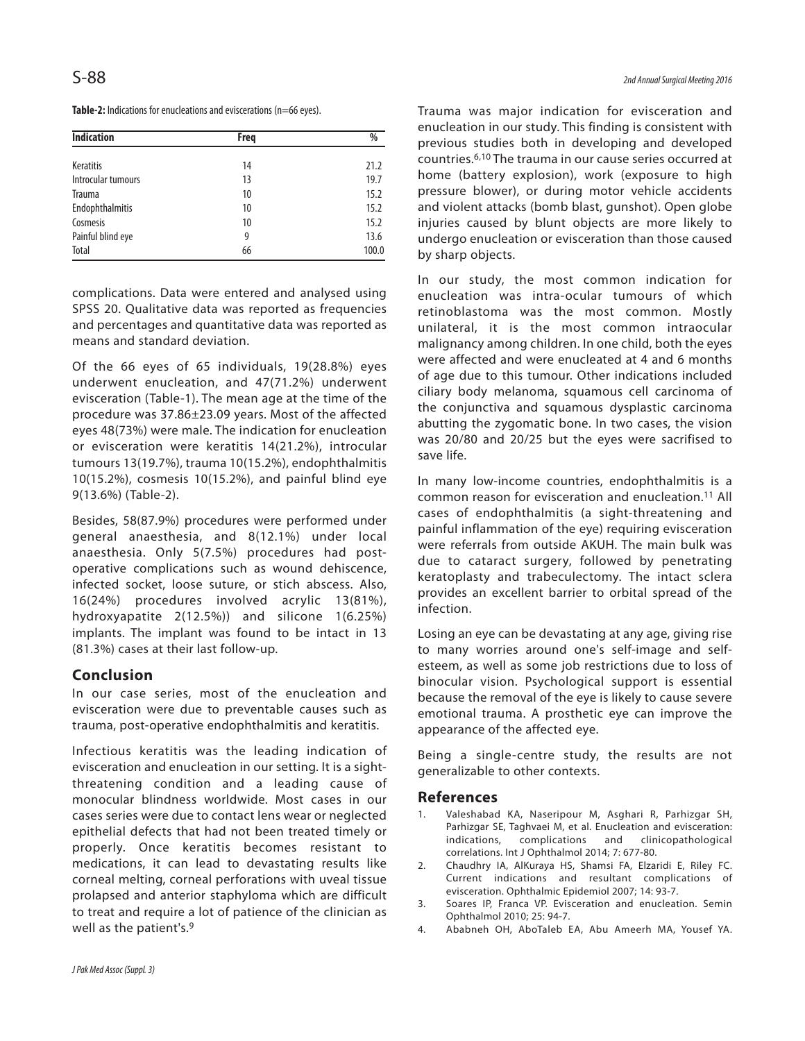| <b>Indication</b>  | Freq | %     |
|--------------------|------|-------|
| <b>Keratitis</b>   | 14   | 21.2  |
| Introcular tumours | 13   | 19.7  |
| <b>Trauma</b>      | 10   | 15.2  |
| Endophthalmitis    | 10   | 15.2  |
| Cosmesis           | 10   | 15.2  |
| Painful blind eye  | 9    | 13.6  |
| Total              | 66   | 100.0 |

complications. Data were entered and analysed using SPSS 20. Qualitative data was reported as frequencies and percentages and quantitative data was reported as means and standard deviation.

Of the 66 eyes of 65 individuals, 19(28.8%) eyes underwent enucleation, and 47(71.2%) underwent evisceration (Table-1). The mean age at the time of the procedure was 37.86±23.09 years. Most of the affected eyes 48(73%) were male. The indication for enucleation or evisceration were keratitis 14(21.2%), introcular tumours 13(19.7%), trauma 10(15.2%), endophthalmitis 10(15.2%), cosmesis 10(15.2%), and painful blind eye 9(13.6%) (Table-2).

Besides, 58(87.9%) procedures were performed under general anaesthesia, and 8(12.1%) under local anaesthesia. Only 5(7.5%) procedures had postoperative complications such as wound dehiscence, infected socket, loose suture, or stich abscess. Also, 16(24%) procedures involved acrylic 13(81%), hydroxyapatite 2(12.5%)) and silicone 1(6.25%) implants. The implant was found to be intact in 13 (81.3%) cases at their last follow-up.

# **Conclusion**

In our case series, most of the enucleation and evisceration were due to preventable causes such as trauma, post-operative endophthalmitis and keratitis.

Infectious keratitis was the leading indication of evisceration and enucleation in our setting. It is a sightthreatening condition and a leading cause of monocular blindness worldwide. Most cases in our cases series were due to contact lens wear or neglected epithelial defects that had not been treated timely or properly. Once keratitis becomes resistant to medications, it can lead to devastating results like corneal melting, corneal perforations with uveal tissue prolapsed and anterior staphyloma which are difficult to treat and require a lot of patience of the clinician as well as the patient's. 9

Trauma was major indication for evisceration and enucleation in our study. This finding is consistent with previous studies both in developing and developed countries. 6,10 The trauma in our cause series occurred at home (battery explosion), work (exposure to high pressure blower), or during motor vehicle accidents and violent attacks (bomb blast, gunshot). Open globe injuries caused by blunt objects are more likely to undergo enucleation or evisceration than those caused by sharp objects.

In our study, the most common indication for enucleation was intra-ocular tumours of which retinoblastoma was the most common. Mostly unilateral, it is the most common intraocular malignancy among children. In one child, both the eyes were affected and were enucleated at 4 and 6 months of age due to this tumour. Other indications included ciliary body melanoma, squamous cell carcinoma of the conjunctiva and squamous dysplastic carcinoma abutting the zygomatic bone. In two cases, the vision was 20/80 and 20/25 but the eyes were sacrifised to save life.

In many low-income countries, endophthalmitis is a common reason for evisceration and enucleation. <sup>11</sup> All cases of endophthalmitis (a sight-threatening and painful inflammation of the eye) requiring evisceration were referrals from outside AKUH. The main bulk was due to cataract surgery, followed by penetrating keratoplasty and trabeculectomy. The intact sclera provides an excellent barrier to orbital spread of the infection.

Losing an eye can be devastating at any age, giving rise to many worries around one's self-image and selfesteem, as well as some job restrictions due to loss of binocular vision. Psychological support is essential because the removal of the eye is likely to cause severe emotional trauma. A prosthetic eye can improve the appearance of the affected eye.

Being a single-centre study, the results are not generalizable to other contexts.

## **References**

- 1. Valeshabad KA, Naseripour M, Asghari R, Parhizgar SH, Parhizgar SE, Taghvaei M, et al. Enucleation and evisceration: indications, complications and clinicopathological correlations. Int J Ophthalmol 2014; 7: 677-80.
- 2. Chaudhry IA, AlKuraya HS, Shamsi FA, Elzaridi E, Riley FC. Current indications and resultant complications of evisceration. Ophthalmic Epidemiol 2007; 14: 93-7.
- 3. Soares IP, Franca VP. Evisceration and enucleation. Semin Ophthalmol 2010; 25: 94-7.
- 4. Ababneh OH, AboTaleb EA, Abu Ameerh MA, Yousef YA.